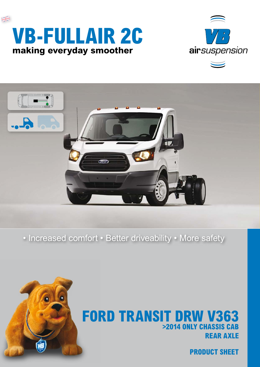





### • Increased comfort • Better driveability • More safety



## **REAR AXLE FORD TRANSIT DRW V363 >2014 ONLY CHASSIS CAB**

**PRODUCT SHEET**